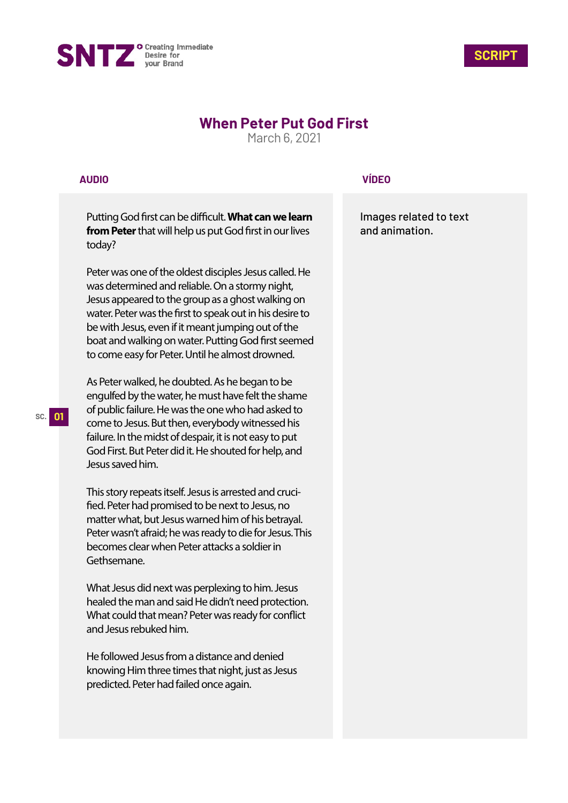



## **When Peter Put God First**

March 6, 2021

## **AUDIO**

Putting God first can be difficult. What can we learn **from Peter** that will help us put God first in our lives today?

Peter was one of the oldest disciples Jesus called. He was determined and reliable. On a stormy night, Jesus appeared to the group as a ghost walking on water. Peter was the first to speak out in his desire to be with Jesus, even if it meant jumping out of the boat and walking on water. Putting God first seemed to come easy for Peter. Until he almost drowned.

As Peter walked, he doubted. As he began to be engulfed by the water, he must have felt the shame of public failure. He was the one who had asked to come to Jesus. But then, everybody witnessed his failure. In the midst of despair, it is not easy to put God First. But Peter did it. He shouted for help, and Jesus saved him.

This story repeats itself. Jesus is arrested and cruci fied. Peter had promised to be next to Jesus, no matter what, but Jesus warned him of his betrayal. Peter wasn't afraid; he was ready to die for Jesus. This becomes clear when Peter attacks a soldier in Gethsemane.

What Jesus did next was perplexing to him. Jesus healed the man and said He didn't need protection. What could that mean? Peter was ready for conflict and Jesus rebuked him.

He followed Jesus from a distance and denied knowing Him three times that night, just as Jesus predicted. Peter had failed once again.

## **VÍDEO**

Images related to text and animation.